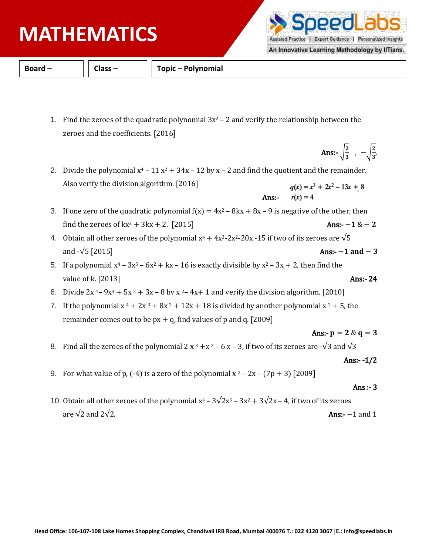## **PHYSICS MATHEMATICS**

**Board – Class – Topic – Polynomial**

- 1. Find the zeroes of the quadratic polynomial  $3x^2 2$  and verify the relationship between the zeroes and the coefficients. [2016]
- 2. Divide the polynomial  $x^4 11x^2 + 34x 12$  by x 2 and find the quotient and the remainder. Also verify the division algorithm. [2016]  $q(x) = x^3 + 2x^2 - 13x + 8$
- 3. If one zero of the quadratic polynomial  $f(x) = 4x^2 8kx + 8x 9$  is negative of the other, then find the zeroes of kx<sup>2</sup> + 3kx + 2. [2015] **Ans:**-1 & − 2

Ans:-

 $r(x) = 4$ 

- 4. Obtain all other zeroes of the polynomial  $x^4 + 4x^3-2x^2-20x-15$  if two of its zeroes are  $\sqrt{5}$ and  $-\sqrt{5}$  [2015] **Ans:**-  $-1$  and  $-3$
- 5. If a polynomial  $x^4 3x^3 6x^2 + kx 16$  is exactly divisible by  $x^2 3x + 2$ , then find the value of k. [2013] **Ans:- 24**
- 6. Divide  $2x^4 9x^3 + 5x^2 + 3x 8$  by  $x^2 4x + 1$  and verify the division algorithm. [2010]
- 7. If the polynomial  $x^4 + 2x^3 + 8x^2 + 12x + 18$  is divided by another polynomial  $x^2 + 5$ , the remainder comes out to be  $px + q$ , find values of p and q. [2009]

## Ans:-  $p = 2 \& q = 3$

- 8. Find all the zeroes of the polynomial 2 x  $3 +x^2 6x 3$ , if two of its zeroes are - $\sqrt{3}$  and  $\sqrt{3}$ 
	- Ans:- -1/2
- 9. For what value of p,  $(-4)$  is a zero of the polynomial x  $2 2x (7p + 3)$  [2009]

## Ans :- 3

10. Obtain all other zeroes of the polynomial  $x^4 - 3\sqrt{2}x^3 - 3x^2 + 3\sqrt{2}x - 4$ , if two of its zeroes are  $\sqrt{2}$  and  $2\sqrt{2}$ . Ans:- −1 and 1



 $\frac{2}{3}$ 

An Innovative Learning Methodology by IITians.